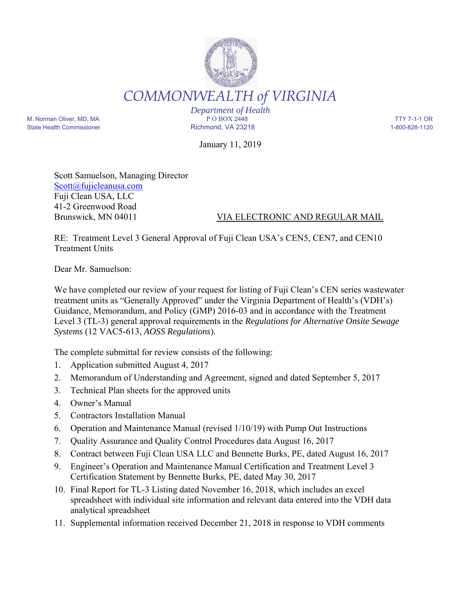

*Department of Health* M. Norman Oliver, MD, MA P O BOX 2448 TTY 7-1-1 OR State Health Commissioner and the Richmond, VA 23218 1-800-828-1120

January 11, 2019

Scott Samuelson, Managing Director Scott@fujicleanusa.com Fuji Clean USA, LLC 41-2 Greenwood Road

Brunswick, MN 04011 VIA ELECTRONIC AND REGULAR MAIL

RE: Treatment Level 3 General Approval of Fuji Clean USA's CEN5, CEN7, and CEN10 Treatment Units

Dear Mr. Samuelson:

We have completed our review of your request for listing of Fuji Clean's CEN series wastewater treatment units as "Generally Approved" under the Virginia Department of Health's (VDH's) Guidance, Memorandum, and Policy (GMP) 2016-03 and in accordance with the Treatment Level 3 (TL-3) general approval requirements in the *Regulations for Alternative Onsite Sewage Systems* (12 VAC5-613, *AOSS Regulations*).

The complete submittal for review consists of the following:

- 1. Application submitted August 4, 2017
- 2. Memorandum of Understanding and Agreement, signed and dated September 5, 2017
- 3. Technical Plan sheets for the approved units
- 4. Owner's Manual
- 5. Contractors Installation Manual
- 6. Operation and Maintenance Manual (revised 1/10/19) with Pump Out Instructions
- 7. Quality Assurance and Quality Control Procedures data August 16, 2017
- 8. Contract between Fuji Clean USA LLC and Bennette Burks, PE, dated August 16, 2017
- 9. Engineer's Operation and Maintenance Manual Certification and Treatment Level 3 Certification Statement by Bennette Burks, PE, dated May 30, 2017
- 10. Final Report for TL-3 Listing dated November 16, 2018, which includes an excel spreadsheet with individual site information and relevant data entered into the VDH data analytical spreadsheet
- 11. Supplemental information received December 21, 2018 in response to VDH comments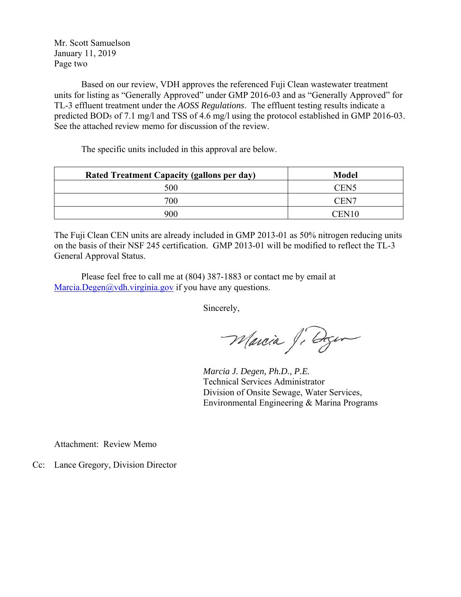Mr. Scott Samuelson January 11, 2019 Page two

Based on our review, VDH approves the referenced Fuji Clean wastewater treatment units for listing as "Generally Approved" under GMP 2016-03 and as "Generally Approved" for TL-3 effluent treatment under the *AOSS Regulations*. The effluent testing results indicate a predicted BOD<sub>5</sub> of 7.1 mg/l and TSS of 4.6 mg/l using the protocol established in GMP 2016-03. See the attached review memo for discussion of the review.

The specific units included in this approval are below.

| <b>Rated Treatment Capacity (gallons per day)</b> | <b>Model</b>      |  |
|---------------------------------------------------|-------------------|--|
| 500                                               | CEN <sub>5</sub>  |  |
| 700                                               | CEN7              |  |
| 900                                               | CEN <sub>10</sub> |  |

The Fuji Clean CEN units are already included in GMP 2013-01 as 50% nitrogen reducing units on the basis of their NSF 245 certification. GMP 2013-01 will be modified to reflect the TL-3 General Approval Status.

Please feel free to call me at (804) 387-1883 or contact me by email at Marcia.Degen@vdh.virginia.gov if you have any questions.

Sincerely,

Marcia Ji Degem

 *Marcia J. Degen, Ph.D., P.E.*  Technical Services Administrator Division of Onsite Sewage, Water Services, Environmental Engineering & Marina Programs

Attachment: Review Memo

Cc: Lance Gregory, Division Director